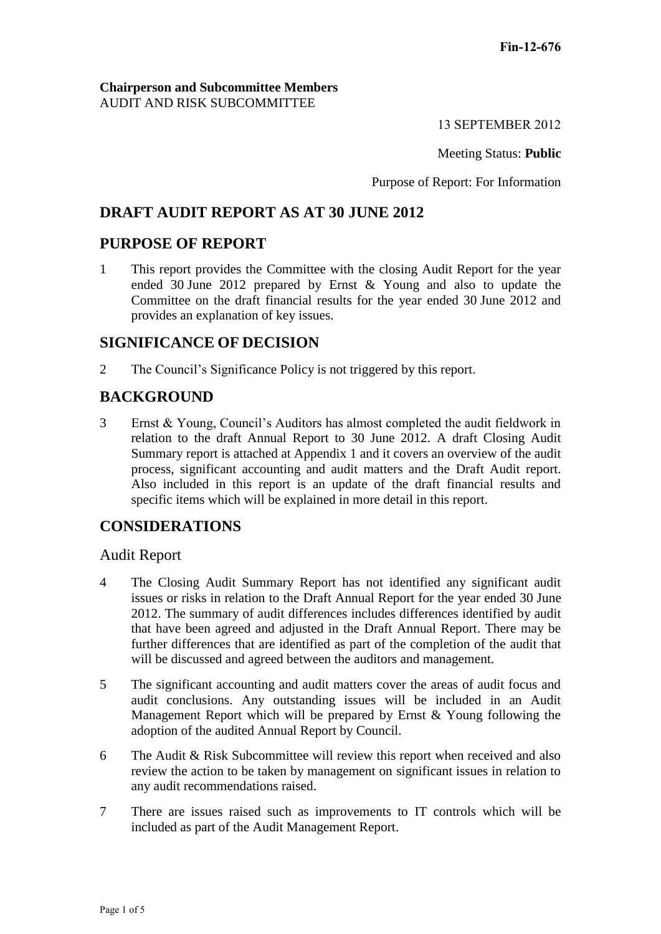#### **Chairperson and Subcommittee Members** AUDIT AND RISK SUBCOMMITTEE

13 SEPTEMBER 2012

Meeting Status: **Public**

Purpose of Report: For Information

# **DRAFT AUDIT REPORT AS AT 30 JUNE 2012**

## **PURPOSE OF REPORT**

1 This report provides the Committee with the closing Audit Report for the year ended 30 June 2012 prepared by Ernst & Young and also to update the Committee on the draft financial results for the year ended 30 June 2012 and provides an explanation of key issues.

## **SIGNIFICANCE OF DECISION**

2 The Council's Significance Policy is not triggered by this report.

# **BACKGROUND**

3 Ernst & Young, Council's Auditors has almost completed the audit fieldwork in relation to the draft Annual Report to 30 June 2012. A draft Closing Audit Summary report is attached at Appendix 1 and it covers an overview of the audit process, significant accounting and audit matters and the Draft Audit report. Also included in this report is an update of the draft financial results and specific items which will be explained in more detail in this report.

## **CONSIDERATIONS**

#### Audit Report

- 4 The Closing Audit Summary Report has not identified any significant audit issues or risks in relation to the Draft Annual Report for the year ended 30 June 2012. The summary of audit differences includes differences identified by audit that have been agreed and adjusted in the Draft Annual Report. There may be further differences that are identified as part of the completion of the audit that will be discussed and agreed between the auditors and management.
- 5 The significant accounting and audit matters cover the areas of audit focus and audit conclusions. Any outstanding issues will be included in an Audit Management Report which will be prepared by Ernst & Young following the adoption of the audited Annual Report by Council.
- 6 The Audit & Risk Subcommittee will review this report when received and also review the action to be taken by management on significant issues in relation to any audit recommendations raised.
- 7 There are issues raised such as improvements to IT controls which will be included as part of the Audit Management Report.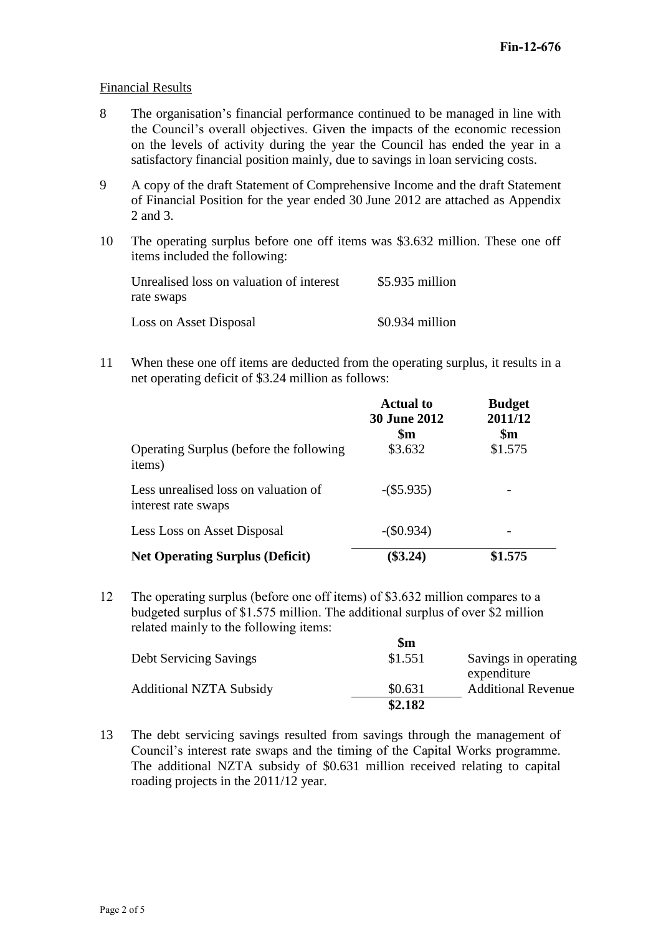#### Financial Results

- 8 The organisation's financial performance continued to be managed in line with the Council's overall objectives. Given the impacts of the economic recession on the levels of activity during the year the Council has ended the year in a satisfactory financial position mainly, due to savings in loan servicing costs.
- 9 A copy of the draft Statement of Comprehensive Income and the draft Statement of Financial Position for the year ended 30 June 2012 are attached as Appendix 2 and 3.
- 10 The operating surplus before one off items was \$3.632 million. These one off items included the following:

| Unrealised loss on valuation of interest | $$5.935$ million |
|------------------------------------------|------------------|
| rate swaps                               |                  |
| Loss on Asset Disposal                   | $$0.934$ million |

11 When these one off items are deducted from the operating surplus, it results in a net operating deficit of \$3.24 million as follows:

| Operating Surplus (before the following<br>items)           | <b>Actual to</b><br><b>30 June 2012</b><br>\$m<br>\$3.632 | <b>Budget</b><br>2011/12<br>$\mathbf{\$m}$<br>\$1.575 |
|-------------------------------------------------------------|-----------------------------------------------------------|-------------------------------------------------------|
| Less unrealised loss on valuation of<br>interest rate swaps | $-(\$5.935)$                                              |                                                       |
| Less Loss on Asset Disposal                                 | $-(\$0.934)$                                              |                                                       |
| <b>Net Operating Surplus (Deficit)</b>                      | \$3.24)                                                   | \$1.575                                               |

12 The operating surplus (before one off items) of \$3.632 million compares to a budgeted surplus of \$1.575 million. The additional surplus of over \$2 million related mainly to the following items:

|                                | \$m     |                                     |
|--------------------------------|---------|-------------------------------------|
| <b>Debt Servicing Savings</b>  | \$1.551 | Savings in operating<br>expenditure |
| <b>Additional NZTA Subsidy</b> | \$0.631 | <b>Additional Revenue</b>           |
|                                | \$2.182 |                                     |

13 The debt servicing savings resulted from savings through the management of Council's interest rate swaps and the timing of the Capital Works programme. The additional NZTA subsidy of \$0.631 million received relating to capital roading projects in the 2011/12 year.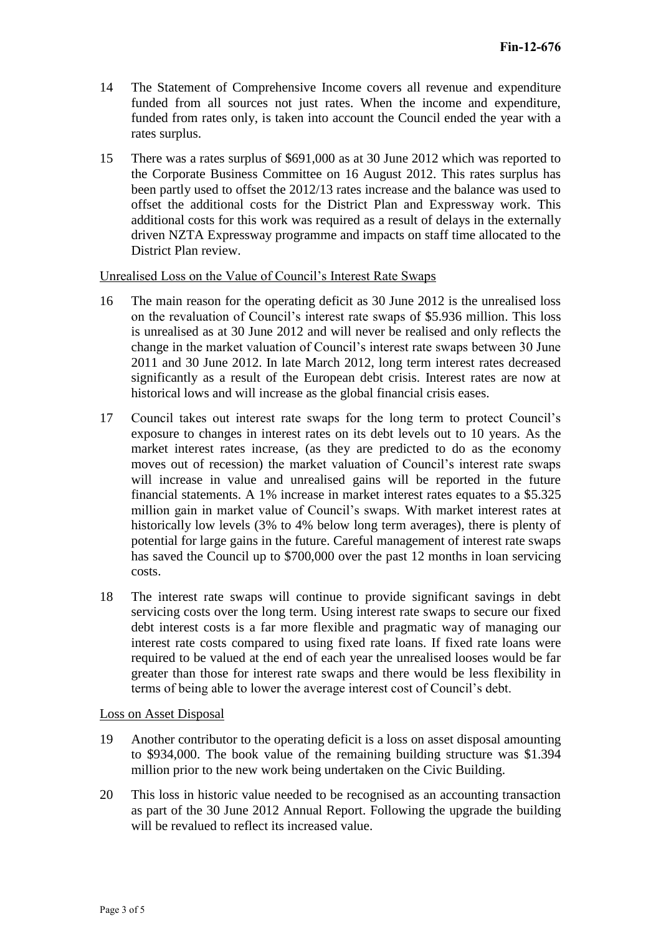- 14 The Statement of Comprehensive Income covers all revenue and expenditure funded from all sources not just rates. When the income and expenditure, funded from rates only, is taken into account the Council ended the year with a rates surplus.
- 15 There was a rates surplus of \$691,000 as at 30 June 2012 which was reported to the Corporate Business Committee on 16 August 2012. This rates surplus has been partly used to offset the 2012/13 rates increase and the balance was used to offset the additional costs for the District Plan and Expressway work. This additional costs for this work was required as a result of delays in the externally driven NZTA Expressway programme and impacts on staff time allocated to the District Plan review.

Unrealised Loss on the Value of Council's Interest Rate Swaps

- 16 The main reason for the operating deficit as 30 June 2012 is the unrealised loss on the revaluation of Council's interest rate swaps of \$5.936 million. This loss is unrealised as at 30 June 2012 and will never be realised and only reflects the change in the market valuation of Council's interest rate swaps between 30 June 2011 and 30 June 2012. In late March 2012, long term interest rates decreased significantly as a result of the European debt crisis. Interest rates are now at historical lows and will increase as the global financial crisis eases.
- 17 Council takes out interest rate swaps for the long term to protect Council's exposure to changes in interest rates on its debt levels out to 10 years. As the market interest rates increase, (as they are predicted to do as the economy moves out of recession) the market valuation of Council's interest rate swaps will increase in value and unrealised gains will be reported in the future financial statements. A 1% increase in market interest rates equates to a \$5.325 million gain in market value of Council's swaps. With market interest rates at historically low levels (3% to 4% below long term averages), there is plenty of potential for large gains in the future. Careful management of interest rate swaps has saved the Council up to \$700,000 over the past 12 months in loan servicing costs.
- 18 The interest rate swaps will continue to provide significant savings in debt servicing costs over the long term. Using interest rate swaps to secure our fixed debt interest costs is a far more flexible and pragmatic way of managing our interest rate costs compared to using fixed rate loans. If fixed rate loans were required to be valued at the end of each year the unrealised looses would be far greater than those for interest rate swaps and there would be less flexibility in terms of being able to lower the average interest cost of Council's debt.

#### Loss on Asset Disposal

- 19 Another contributor to the operating deficit is a loss on asset disposal amounting to \$934,000. The book value of the remaining building structure was \$1.394 million prior to the new work being undertaken on the Civic Building.
- 20 This loss in historic value needed to be recognised as an accounting transaction as part of the 30 June 2012 Annual Report. Following the upgrade the building will be revalued to reflect its increased value.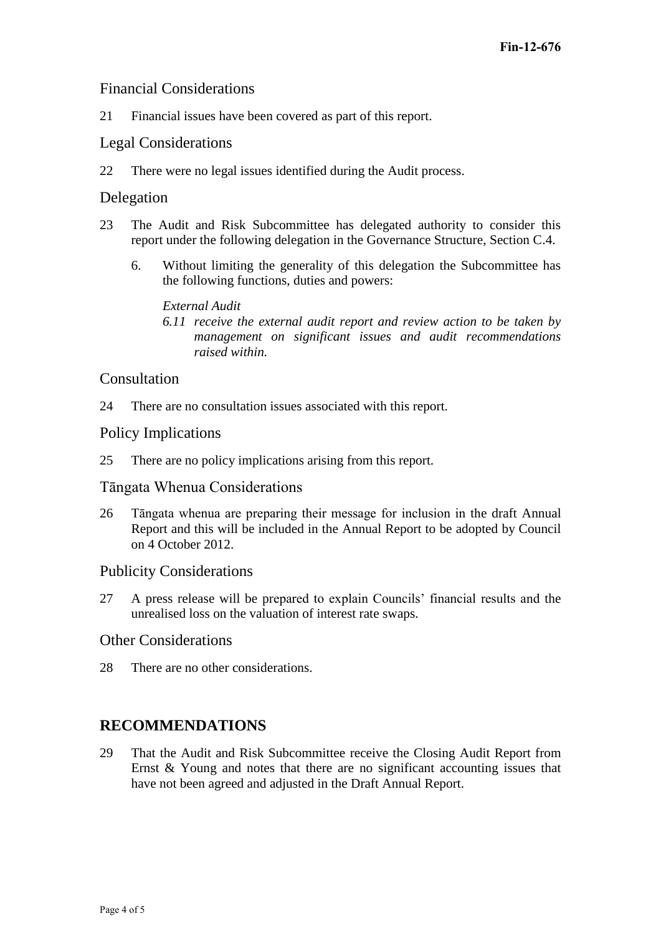## Financial Considerations

21 Financial issues have been covered as part of this report.

## Legal Considerations

22 There were no legal issues identified during the Audit process.

### Delegation

- 23 The Audit and Risk Subcommittee has delegated authority to consider this report under the following delegation in the Governance Structure, Section C.4.
	- 6. Without limiting the generality of this delegation the Subcommittee has the following functions, duties and powers:

#### *External Audit*

*6.11 receive the external audit report and review action to be taken by management on significant issues and audit recommendations raised within.*

#### Consultation

24 There are no consultation issues associated with this report.

#### Policy Implications

25 There are no policy implications arising from this report.

### Tāngata Whenua Considerations

26 Tāngata whenua are preparing their message for inclusion in the draft Annual Report and this will be included in the Annual Report to be adopted by Council on 4 October 2012.

### Publicity Considerations

27 A press release will be prepared to explain Councils' financial results and the unrealised loss on the valuation of interest rate swaps.

### Other Considerations

28 There are no other considerations.

## **RECOMMENDATIONS**

29 That the Audit and Risk Subcommittee receive the Closing Audit Report from Ernst & Young and notes that there are no significant accounting issues that have not been agreed and adjusted in the Draft Annual Report.